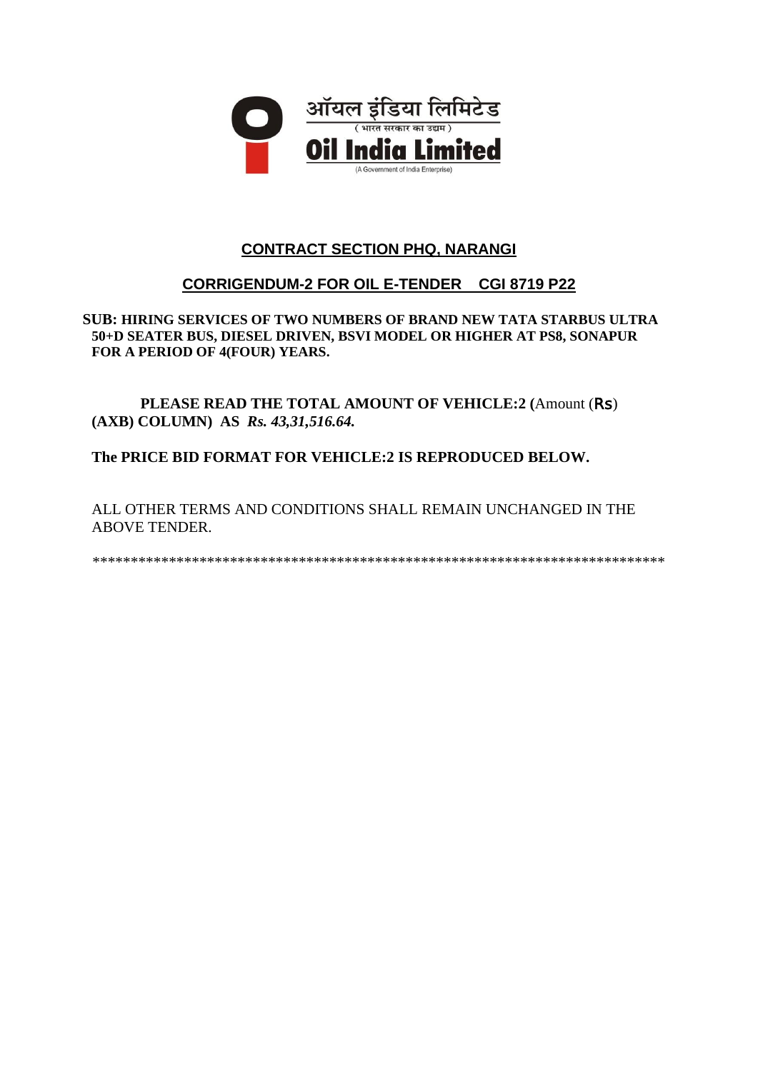

# **CONTRACT SECTION PHQ, NARANGI**

# **CORRIGENDUM-2 FOR OIL E-TENDER CGI 8719 P22**

**SUB: HIRING SERVICES OF TWO NUMBERS OF BRAND NEW TATA STARBUS ULTRA 50+D SEATER BUS, DIESEL DRIVEN, BSVI MODEL OR HIGHER AT PS8, SONAPUR FOR A PERIOD OF 4(FOUR) YEARS.** 

**PLEASE READ THE TOTAL AMOUNT OF VEHICLE:2 (**Amount (Rs) **(AXB) COLUMN) AS** *Rs. 43,31,516.64.*

**The PRICE BID FORMAT FOR VEHICLE:2 IS REPRODUCED BELOW.**

ALL OTHER TERMS AND CONDITIONS SHALL REMAIN UNCHANGED IN THE ABOVE TENDER.

\*\*\*\*\*\*\*\*\*\*\*\*\*\*\*\*\*\*\*\*\*\*\*\*\*\*\*\*\*\*\*\*\*\*\*\*\*\*\*\*\*\*\*\*\*\*\*\*\*\*\*\*\*\*\*\*\*\*\*\*\*\*\*\*\*\*\*\*\*\*\*\*\*\*\*